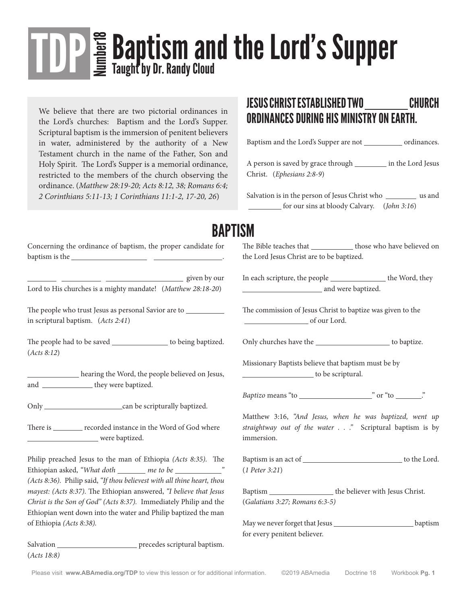# **TOP** E **Baptism and the Lord's Supper** Taught by Dr. Randy Cloud

We believe that there are two pictorial ordinances in the Lord's churches: Baptism and the Lord's Supper. Scriptural baptism is the immersion of penitent believers in water, administered by the authority of a New Testament church in the name of the Father, Son and Holy Spirit. The Lord's Supper is a memorial ordinance, restricted to the members of the church observing the ordinance. (*Matthew 28:19-20; Acts 8:12, 38; Romans 6:4; 2 Corinthians 5:11-13; 1 Corinthians 11:1-2, 17-20, 26*)

#### JESUS CHRIST ESTABLISHED TWO CHURCH ORDINANCES DURING HIS MINISTRY ON EARTH.

Baptism and the Lord's Supper are not \_\_\_\_\_\_\_\_\_\_\_\_\_ ordinances.

A person is saved by grace through in the Lord Jesus Christ. (*Ephesians 2:8-9*)

Salvation is in the person of Jesus Christ who was and for our sins at bloody Calvary. (*John 3:16*)

#### **RAPTISM**

| Concerning the ordinance of baptism, the proper candidate for                                                                       | The Bible teacl<br>the Lord Jesus |
|-------------------------------------------------------------------------------------------------------------------------------------|-----------------------------------|
| given by our<br>Lord to His churches is a mighty mandate! (Matthew 28:18-20)                                                        | In each scriptu                   |
|                                                                                                                                     |                                   |
|                                                                                                                                     | The commissic                     |
| in scriptural baptism. (Acts 2:41)                                                                                                  |                                   |
| The people had to be saved ___________________ to being baptized.<br>(Acts 8:12)                                                    | Only churches                     |
|                                                                                                                                     | Missionary Ba                     |
| hearing the Word, the people believed on Jesus,<br>and ________________they were baptized.                                          |                                   |
|                                                                                                                                     | Baptizo means                     |
|                                                                                                                                     | Matthew 3:16                      |
| There is ________ recorded instance in the Word of God where                                                                        | straightway ou                    |
| were baptized.                                                                                                                      | immersion.                        |
| Philip preached Jesus to the man of Ethiopia (Acts 8:35). The                                                                       | Baptism is an a                   |
|                                                                                                                                     | $(1$ Peter 3:21)                  |
| (Acts 8:36). Philip said, "If thou believest with all thine heart, thou                                                             |                                   |
| mayest: (Acts 8:37). The Ethiopian answered, "I believe that Jesus                                                                  | Baptism                           |
| Christ is the Son of God" (Acts 8:37). Immediately Philip and the<br>Ethiopian went down into the water and Philip baptized the man | (Galatians 3:27                   |
| of Ethiopia (Acts 8:38).                                                                                                            | May we never f                    |
|                                                                                                                                     |                                   |

Salvation \_\_\_\_\_\_\_\_\_\_\_\_\_\_\_\_\_\_\_\_\_\_\_\_\_\_\_ precedes scriptural baptism. (*Acts 18:8)*

nes that help those who have believed on Christ are to be baptized.

In the people the Word, they and were baptized.

on of Jesus Christ to baptize was given to the of our Lord.

have the service to baptize.

ptists believe that baptism must be by to be scriptural.

<sup>"</sup>to <u>"</u> or "to ..."

Matthew 3:16, *"And Jesus, when he was baptized, went up straightway out of the water . . ."* Scriptural baptism is by

act of the Lord.

 $\Box$  the believer with Jesus Christ. (*Galatians 3:27; Romans 6:3-5)*

forget that Jesus **harmon** baptism for every penitent believer.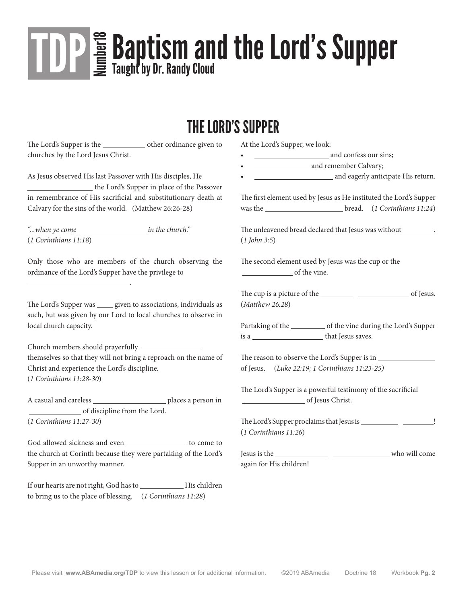# **TOP** E **Baptism and the Lord's Supper** Taught by Dr. Randy Cloud

#### THE LORD'S SUPPER

The Lord's Supper is the other ordinance given to churches by the Lord Jesus Christ.

As Jesus observed His last Passover with His disciples, He the Lord's Supper in place of the Passover in remembrance of His sacrificial and substitutionary death at Calvary for the sins of the world. (Matthew 26:26-28)

*"...when ye come in the church."* (*1 Corinthians 11:18*)

.

Only those who are members of the church observing the ordinance of the Lord's Supper have the privilege to

The Lord's Supper was \_\_\_\_\_ given to associations, individuals as such, but was given by our Lord to local churches to observe in local church capacity.

Church members should prayerfully themselves so that they will not bring a reproach on the name of Christ and experience the Lord's discipline. (*1 Corinthians 11:28-30*)

A casual and careless \_\_\_\_\_\_\_\_\_\_\_\_\_\_\_\_\_\_\_\_\_\_\_ places a person in of discipline from the Lord. (*1 Corinthians 11:27-30*)

God allowed sickness and even \_\_\_\_\_\_\_\_\_\_\_\_\_\_\_ to come to the church at Corinth because they were partaking of the Lord's Supper in an unworthy manner.

If our hearts are not right, God has to His children to bring us to the place of blessing. (*1 Corinthians 11:28*)

At the Lord's Supper, we look:

- example 2 and confess our sins;
- and remember Calvary;
- and eagerly anticipate His return.

The first element used by Jesus as He instituted the Lord's Supper was the **bread.** (*1 Corinthians 11:24*)

The unleavened bread declared that Jesus was without \_\_\_\_\_\_\_\_\_. (*1 John 3:5*)

The second element used by Jesus was the cup or the of the vine.

The cup is a picture of the <u>cup</u> contract of Jesus. (*Matthew 26:28*)

Partaking of the \_\_\_\_\_\_\_\_\_\_ of the vine during the Lord's Supper is a that Jesus saves.

The reason to observe the Lord's Supper is in of Jesus. (*Luke 22:19; 1 Corinthians 11:23-25)*

The Lord's Supper is a powerful testimony of the sacrificial **COLLEGE 19 COLLEGE 19 COLLEGE 19 COLLEGE 19 COLLEGE 19 COLLEGE 2013** 

The Lord's Supper proclaims that Jesus is ! (*1 Corinthians 11:26*)

Jesus is the whole who will come again for His children!